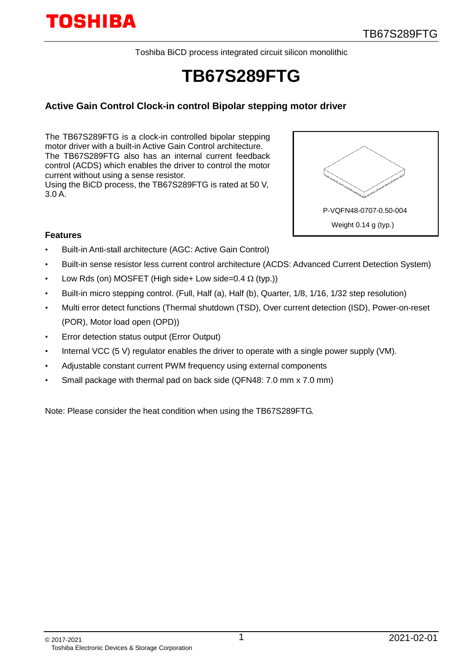Toshiba BiCD process integrated circuit silicon monolithic

## **TB67S289FTG**

#### **Active Gain Control Clock-in control Bipolar stepping motor driver**

The TB67S289FTG is a clock-in controlled bipolar stepping motor driver with a built-in Active Gain Control architecture. The TB67S289FTG also has an internal current feedback control (ACDS) which enables the driver to control the motor current without using a sense resistor. Using the BiCD process, the TB67S289FTG is rated at 50 V,

3.0 A.



#### **Features**

- Built-in Anti-stall architecture (AGC: Active Gain Control)
- Built-in sense resistor less current control architecture (ACDS: Advanced Current Detection System)
- Low Rds (on) MOSFET (High side+ Low side=0.4  $\Omega$  (typ.))
- Built-in micro stepping control. (Full, Half (a), Half (b), Quarter, 1/8, 1/16, 1/32 step resolution)
- Multi error detect functions (Thermal shutdown (TSD), Over current detection (ISD), Power-on-reset (POR), Motor load open (OPD))
- Error detection status output (Error Output)
- Internal VCC (5 V) regulator enables the driver to operate with a single power supply (VM).
- Adjustable constant current PWM frequency using external components
- Small package with thermal pad on back side (QFN48: 7.0 mm x 7.0 mm)

Note: Please consider the heat condition when using the TB67S289FTG.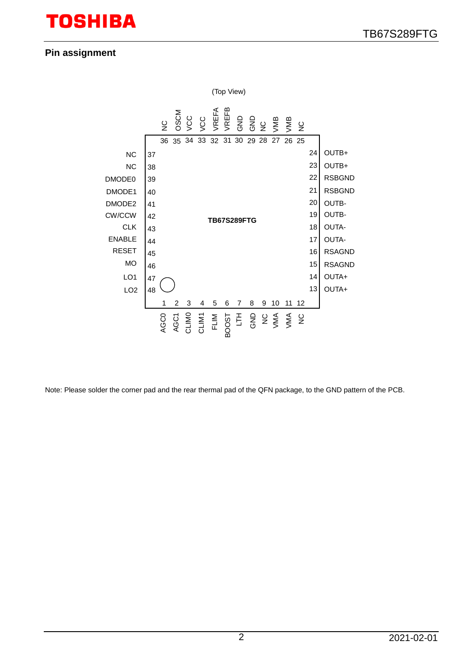## **Pin assignment**



Note: Please solder the corner pad and the rear thermal pad of the QFN package, to the GND pattern of the PCB.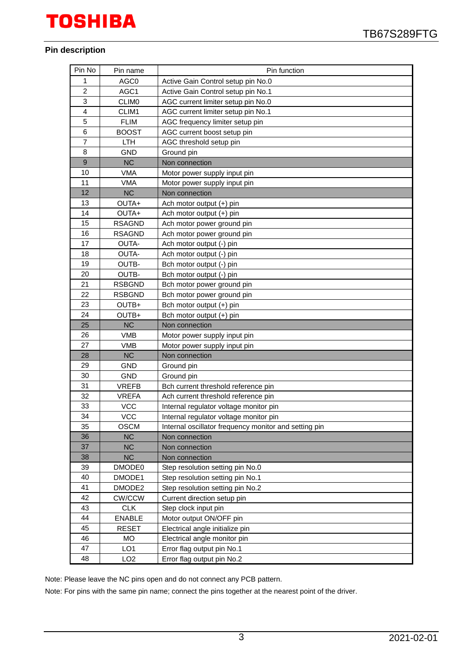#### **Pin description**

| Pin No         | Pin name        | Pin function                                          |
|----------------|-----------------|-------------------------------------------------------|
| 1              | AGC0            | Active Gain Control setup pin No.0                    |
| $\overline{c}$ | AGC1            | Active Gain Control setup pin No.1                    |
| 3              | <b>CLIMO</b>    | AGC current limiter setup pin No.0                    |
| $\overline{4}$ | CLIM1           | AGC current limiter setup pin No.1                    |
| 5              | <b>FLIM</b>     | AGC frequency limiter setup pin                       |
| 6              | <b>BOOST</b>    | AGC current boost setup pin                           |
| 7              | <b>LTH</b>      | AGC threshold setup pin                               |
| 8              | <b>GND</b>      | Ground pin                                            |
| 9              | NC              | Non connection                                        |
| 10             | VMA             | Motor power supply input pin                          |
| 11             | <b>VMA</b>      | Motor power supply input pin                          |
| 12             | <b>NC</b>       | Non connection                                        |
| 13             | OUTA+           | Ach motor output (+) pin                              |
| 14             | OUTA+           | Ach motor output (+) pin                              |
| 15             | <b>RSAGND</b>   | Ach motor power ground pin                            |
| 16             | <b>RSAGND</b>   | Ach motor power ground pin                            |
| 17             | OUTA-           | Ach motor output (-) pin                              |
| 18             | OUTA-           | Ach motor output (-) pin                              |
| 19             | <b>OUTB-</b>    | Bch motor output (-) pin                              |
| 20             | OUTB-           | Bch motor output (-) pin                              |
| 21             | <b>RSBGND</b>   | Bch motor power ground pin                            |
| 22             | <b>RSBGND</b>   | Bch motor power ground pin                            |
| 23             | OUTB+           | Bch motor output (+) pin                              |
| 24             | OUTB+           | Bch motor output (+) pin                              |
| 25             | <b>NC</b>       | Non connection                                        |
| 26             | <b>VMB</b>      | Motor power supply input pin                          |
| 27             | <b>VMB</b>      | Motor power supply input pin                          |
| 28             | <b>NC</b>       | Non connection                                        |
| 29             | <b>GND</b>      | Ground pin                                            |
| 30             | GND             | Ground pin                                            |
| 31             | <b>VREFB</b>    | Bch current threshold reference pin                   |
| 32             | <b>VREFA</b>    | Ach current threshold reference pin                   |
| 33             | <b>VCC</b>      | Internal regulator voltage monitor pin                |
| 34             | <b>VCC</b>      | Internal regulator voltage monitor pin                |
| 35             | <b>OSCM</b>     | Internal oscillator frequency monitor and setting pin |
| 36             | <b>NC</b>       | Non connection                                        |
| 37             | <b>NC</b>       | Non connection                                        |
| 38             | <b>NC</b>       | Non connection                                        |
| 39             | DMODE0          | Step resolution setting pin No.0                      |
| 40             | DMODE1          | Step resolution setting pin No.1                      |
| 41             | DMODE2          | Step resolution setting pin No.2                      |
| 42             | CW/CCW          | Current direction setup pin                           |
| 43             | <b>CLK</b>      | Step clock input pin                                  |
| 44             | <b>ENABLE</b>   | Motor output ON/OFF pin                               |
| 45             | <b>RESET</b>    | Electrical angle initialize pin                       |
| 46             | <b>MO</b>       | Electrical angle monitor pin                          |
| 47             | LO <sub>1</sub> | Error flag output pin No.1                            |
| 48             | LO <sub>2</sub> | Error flag output pin No.2                            |

Note: Please leave the NC pins open and do not connect any PCB pattern.

Note: For pins with the same pin name; connect the pins together at the nearest point of the driver.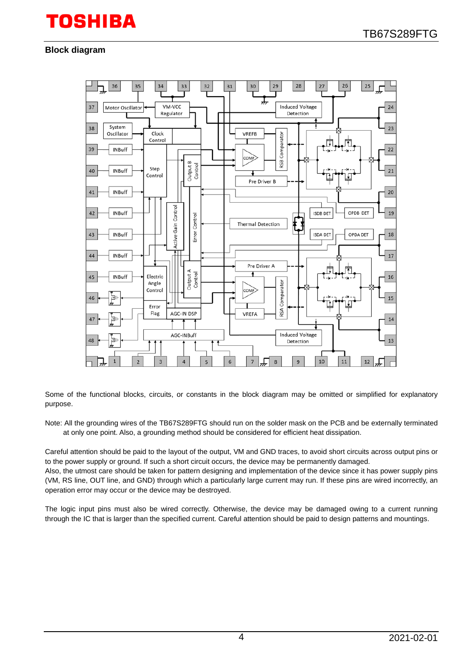#### **Block diagram**



Some of the functional blocks, circuits, or constants in the block diagram may be omitted or simplified for explanatory purpose.

Note: All the grounding wires of the TB67S289FTG should run on the solder mask on the PCB and be externally terminated at only one point. Also, a grounding method should be considered for efficient heat dissipation.

Careful attention should be paid to the layout of the output, VM and GND traces, to avoid short circuits across output pins or to the power supply or ground. If such a short circuit occurs, the device may be permanently damaged.

Also, the utmost care should be taken for pattern designing and implementation of the device since it has power supply pins (VM, RS line, OUT line, and GND) through which a particularly large current may run. If these pins are wired incorrectly, an operation error may occur or the device may be destroyed.

The logic input pins must also be wired correctly. Otherwise, the device may be damaged owing to a current running through the IC that is larger than the specified current. Careful attention should be paid to design patterns and mountings.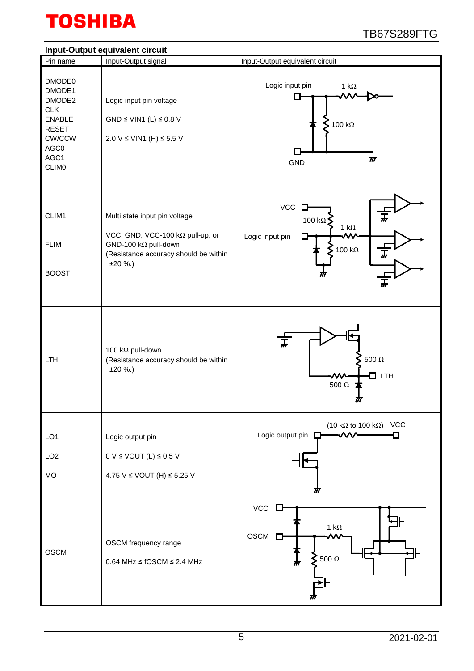

## **Input-Output equivalent circuit**

|                                                                                                                     | Input-Output equivalent circuit                                                                                                                 |                                                                                                   |
|---------------------------------------------------------------------------------------------------------------------|-------------------------------------------------------------------------------------------------------------------------------------------------|---------------------------------------------------------------------------------------------------|
| Pin name                                                                                                            | Input-Output signal                                                                                                                             | Input-Output equivalent circuit                                                                   |
| DMODE0<br>DMODE1<br>DMODE2<br><b>CLK</b><br><b>ENABLE</b><br><b>RESET</b><br>CW/CCW<br>AGC0<br>AGC1<br><b>CLIMO</b> | Logic input pin voltage<br>GND $\leq$ VIN1 (L) $\leq$ 0.8 V<br>2.0 V ≤ VIN1 (H) ≤ 5.5 V                                                         | Logic input pin<br>1 k $\Omega$<br>П<br>$\sum$ 100 kΩ<br>$\boldsymbol{\pi}$<br>GND                |
| CLIM1<br><b>FLIM</b><br><b>BOOST</b>                                                                                | Multi state input pin voltage<br>VCC, GND, VCC-100 kΩ pull-up, or<br>GND-100 kΩ pull-down<br>(Resistance accuracy should be within<br>$±20$ %.) | VCC<br>0<br>100 k $\Omega$<br>1 k $\Omega$<br>Logic input pin<br>100 k $\Omega$<br>$\overline{r}$ |
| LTH                                                                                                                 | 100 kΩ pull-down<br>(Resistance accuracy should be within<br>$±20$ %.)                                                                          | $\overline{t}$<br>$500\ \Omega$<br>$\Box$ LTH<br>$500~\Omega$<br>M                                |
| LO <sub>1</sub><br>LO <sub>2</sub><br><b>MO</b>                                                                     | Logic output pin<br>$0 V \leq$ VOUT (L) $\leq$ 0.5 V<br>4.75 V ≤ VOUT (H) ≤ 5.25 V                                                              | (10 k $\Omega$ to 100 k $\Omega$ ) VCC<br>Logic output pin $\square$<br>M                         |
| <b>OSCM</b>                                                                                                         | OSCM frequency range<br>$0.64$ MHz $\leq$ fOSCM $\leq$ 2.4 MHz                                                                                  | $VCC$ $\square$<br>1 k $\Omega$<br>OSCM<br>$\Box$<br>$\sum$ 500 $\Omega$<br>$\frac{1}{M}$         |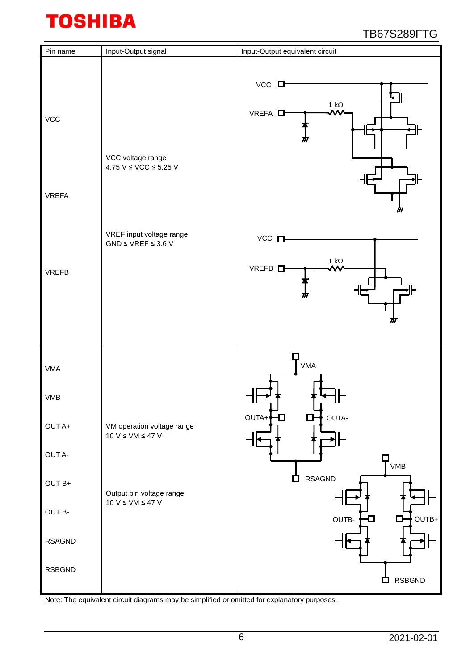| Pin name                   | Input-Output signal                                    | Input-Output equivalent circuit                                            |
|----------------------------|--------------------------------------------------------|----------------------------------------------------------------------------|
| <b>VCC</b><br><b>VREFA</b> | VCC voltage range<br>4.75 V $\leq$ VCC $\leq$ 5.25 V   | $VCC$ $\Box$<br>1 $\mathsf{k}\Omega$<br>VREFA <sup>D</sup><br>TII<br>M     |
| <b>VREFB</b>               | VREF input voltage range<br>$GND \leq VREF \leq 3.6 V$ | $VCC$ $\square$<br>1 $\mathsf{k}\Omega$<br>VREFB <sub>L</sub><br>mτ<br>TTT |
| <b>VMA</b>                 |                                                        | $T_{VMA}$                                                                  |
| <b>VMB</b>                 |                                                        |                                                                            |
| OUT A+                     | VM operation voltage range<br>$10 V \le VM \le 47 V$   | OUTA-<br>OUTA+<br>$\Box$<br>D.                                             |
| OUT A-                     |                                                        | VMB                                                                        |
| $OUTB+$                    | Output pin voltage range<br>$10 V \le VM \le 47 V$     | <b>RSAGND</b><br>◘                                                         |
| OUT B-                     |                                                        | OUTB+<br>OUTB-<br>$\Box$                                                   |
| <b>RSAGND</b>              |                                                        |                                                                            |
| <b>RSBGND</b>              |                                                        | <b>RSBGND</b><br>a ka                                                      |

Note: The equivalent circuit diagrams may be simplified or omitted for explanatory purposes.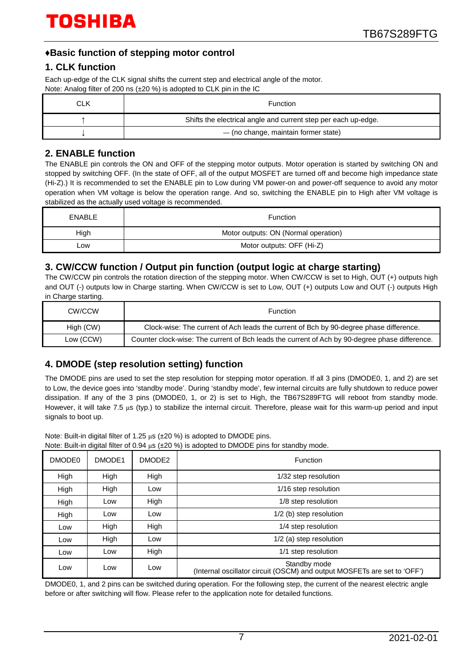## **♦Basic function of stepping motor control**

### **1. CLK function**

Each up-edge of the CLK signal shifts the current step and electrical angle of the motor. Note: Analog filter of 200 ns (±20 %) is adopted to CLK pin in the IC

| CLK | <b>Function</b>                                                |
|-----|----------------------------------------------------------------|
|     | Shifts the electrical angle and current step per each up-edge. |
|     | - (no change, maintain former state)                           |

### **2. ENABLE function**

The ENABLE pin controls the ON and OFF of the stepping motor outputs. Motor operation is started by switching ON and stopped by switching OFF. (In the state of OFF, all of the output MOSFET are turned off and become high impedance state (Hi-Z).) It is recommended to set the ENABLE pin to Low during VM power-on and power-off sequence to avoid any motor operation when VM voltage is below the operation range. And so, switching the ENABLE pin to High after VM voltage is stabilized as the actually used voltage is recommended.

| <b>ENABLE</b> | <b>Function</b>                      |  |  |  |
|---------------|--------------------------------------|--|--|--|
| High          | Motor outputs: ON (Normal operation) |  |  |  |
| _ow           | Motor outputs: OFF (Hi-Z)            |  |  |  |

### **3. CW/CCW function / Output pin function (output logic at charge starting)**

The CW/CCW pin controls the rotation direction of the stepping motor. When CW/CCW is set to High, OUT (+) outputs high and OUT (-) outputs low in Charge starting. When CW/CCW is set to Low, OUT (+) outputs Low and OUT (-) outputs High in Charge starting.

| CW/CCW    | Function                                                                                       |
|-----------|------------------------------------------------------------------------------------------------|
| High (CW) | Clock-wise: The current of Ach leads the current of Bch by 90-degree phase difference.         |
| Low (CCW) | Counter clock-wise: The current of Bch leads the current of Ach by 90-degree phase difference. |

## **4. DMODE (step resolution setting) function**

The DMODE pins are used to set the step resolution for stepping motor operation. If all 3 pins (DMODE0, 1, and 2) are set to Low, the device goes into 'standby mode'. During 'standby mode', few internal circuits are fully shutdown to reduce power dissipation. If any of the 3 pins (DMODE0, 1, or 2) is set to High, the TB67S289FTG will reboot from standby mode. However, it will take 7.5 μs (typ.) to stabilize the internal circuit. Therefore, please wait for this warm-up period and input signals to boot up.

Note: Built-in digital filter of 1.25 μs (±20 %) is adopted to DMODE pins.

| DMODE <sub>0</sub> | DMODE1 | DMODE2 | <b>Function</b>                                                                          |  |  |  |
|--------------------|--------|--------|------------------------------------------------------------------------------------------|--|--|--|
| High               | High   | High   | 1/32 step resolution                                                                     |  |  |  |
| High               | High   | Low    | 1/16 step resolution                                                                     |  |  |  |
| High               | Low    | High   | 1/8 step resolution                                                                      |  |  |  |
| High               | Low    | Low    | 1/2 (b) step resolution                                                                  |  |  |  |
| Low                | High   | High   | 1/4 step resolution                                                                      |  |  |  |
| Low                | High   | Low    | 1/2 (a) step resolution                                                                  |  |  |  |
| Low                | Low    | High   | 1/1 step resolution                                                                      |  |  |  |
| Low                | Low    | Low    | Standby mode<br>(Internal oscillator circuit (OSCM) and output MOSFETs are set to 'OFF') |  |  |  |

DMODE0, 1, and 2 pins can be switched during operation. For the following step, the current of the nearest electric angle before or after switching will flow. Please refer to the application note for detailed functions.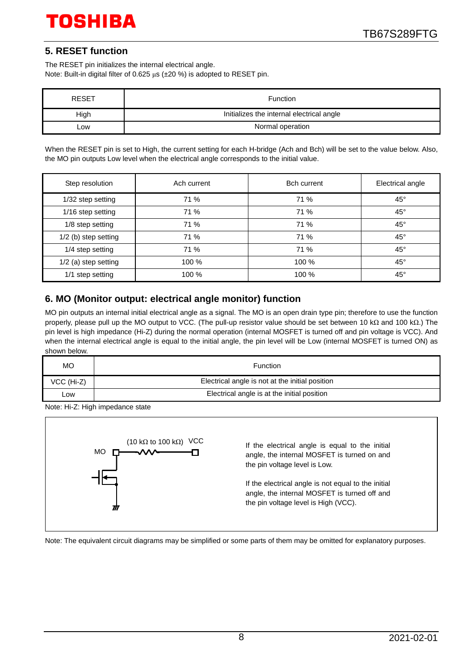## **5. RESET function**

The RESET pin initializes the internal electrical angle. Note: Built-in digital filter of 0.625 μs (±20 %) is adopted to RESET pin.

| <b>RESET</b> | Function                                  |
|--------------|-------------------------------------------|
| High         | Initializes the internal electrical angle |
| .ow          | Normal operation                          |

When the RESET pin is set to High, the current setting for each H-bridge (Ach and Bch) will be set to the value below. Also, the MO pin outputs Low level when the electrical angle corresponds to the initial value.

| Step resolution      | Ach current | <b>Bch current</b> | Electrical angle |  |
|----------------------|-------------|--------------------|------------------|--|
| 1/32 step setting    | 71 %        | 71 %               | $45^{\circ}$     |  |
| 1/16 step setting    | 71 %        | 71 %               | $45^{\circ}$     |  |
| 1/8 step setting     | 71 %        | 71 %               | $45^{\circ}$     |  |
| 1/2 (b) step setting | 71 %        | 71 %               | $45^{\circ}$     |  |
| 1/4 step setting     | 71 %        | 71 %               | $45^{\circ}$     |  |
| 1/2 (a) step setting | 100 %       | 100 %              | $45^{\circ}$     |  |
| 1/1 step setting     | 100 %       | 100 %              | $45^{\circ}$     |  |

## **6. MO (Monitor output: electrical angle monitor) function**

MO pin outputs an internal initial electrical angle as a signal. The MO is an open drain type pin; therefore to use the function properly, please pull up the MO output to VCC. (The pull-up resistor value should be set between 10 kΩ and 100 kΩ.) The pin level is high impedance (Hi-Z) during the normal operation (internal MOSFET is turned off and pin voltage is VCC). And when the internal electrical angle is equal to the initial angle, the pin level will be Low (internal MOSFET is turned ON) as shown below.

| <b>MO</b>  | Function                                        |
|------------|-------------------------------------------------|
| VCC (Hi-Z) | Electrical angle is not at the initial position |
| _ow        | Electrical angle is at the initial position     |

Note: Hi-Z: High impedance state



Note: The equivalent circuit diagrams may be simplified or some parts of them may be omitted for explanatory purposes.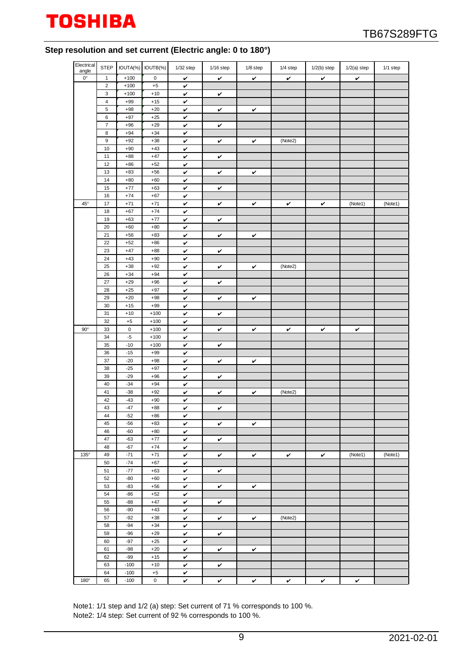

#### **Step resolution and set current (Electric angle: 0 to 180°)**

| Electrical<br>angle |                       | STEP   IOUTA(%)   IOUTB(%) |                | 1/32 step         | $1/16$ step | 1/8 step | 1/4 step     | $1/2(b)$ step | $1/2(a)$ step | 1/1 step |
|---------------------|-----------------------|----------------------------|----------------|-------------------|-------------|----------|--------------|---------------|---------------|----------|
| $0^{\circ}$         | $\mathbf{1}$          | $+100$                     | $\mathsf 0$    | v                 | v           | v        | $\checkmark$ | $\checkmark$  | v             |          |
|                     | $\sqrt{2}$            | $+100$                     | $+5$           | v                 |             |          |              |               |               |          |
|                     | 3                     | $+100$                     | $+10$          | v                 | v           |          |              |               |               |          |
|                     | $\overline{4}$        | $+99$                      | $+15$          | $\checkmark$      |             |          |              |               |               |          |
|                     | 5                     | $+98$                      | $+20$          | v                 | v           | v        |              |               |               |          |
|                     | 6                     | $+97$                      | $+25$          | v                 |             |          |              |               |               |          |
|                     | $\overline{7}$        | $+96$<br>$+94$             | $+29$          | $\checkmark$      | v           |          |              |               |               |          |
|                     | 8<br>$\boldsymbol{9}$ | $+92$                      | $+34$<br>$+38$ | v<br>v            | v           | v        | (Note2)      |               |               |          |
|                     | 10                    | $+90$                      | $+43$          | v                 |             |          |              |               |               |          |
|                     | 11                    | $+88$                      | $+47$          | v                 | v           |          |              |               |               |          |
|                     | 12                    | $+86$                      | $+52$          | v                 |             |          |              |               |               |          |
|                     | 13                    | $+83$                      | $+56$          | v                 | v           | v        |              |               |               |          |
|                     | 14                    | $+80$                      | $+60$          | v                 |             |          |              |               |               |          |
|                     | 15                    | $+77$                      | $+63$          | $\checkmark$      | v           |          |              |               |               |          |
|                     | 16                    | $+74$                      | $+67$          | v                 |             |          |              |               |               |          |
| $45^{\circ}$        | 17                    | $+71$                      | $+71$          | v                 | v           | v        | v            | v             | (Note1)       | (Note1)  |
|                     | 18                    | $+67$                      | $+74$          | $\checkmark$      |             |          |              |               |               |          |
|                     | 19                    | $+63$                      | $+77$          | v                 | v           |          |              |               |               |          |
|                     | 20                    | $+60$                      | $+80$          | v                 |             |          |              |               |               |          |
|                     | 21                    | $+56$                      | $+83$          | $\checkmark$      | v           | v        |              |               |               |          |
|                     | 22                    | $+52$                      | $+86$          | v                 |             |          |              |               |               |          |
|                     | 23                    | $+47$                      | $+88$          | v                 | v           |          |              |               |               |          |
|                     | 24                    | $+43$                      | $+90$          | v                 |             |          |              |               |               |          |
|                     | 25<br>26              | $+38$<br>$+34$             | $+92$<br>$+94$ | v<br>v            | v           | v        | (Note2)      |               |               |          |
|                     | 27                    | $+29$                      | $+96$          | v                 | v           |          |              |               |               |          |
|                     | 28                    | $+25$                      | $+97$          | v                 |             |          |              |               |               |          |
|                     | 29                    | $+20$                      | $+98$          | $\checkmark$      | v           | v        |              |               |               |          |
|                     | 30                    | $+15$                      | $+99$          | v                 |             |          |              |               |               |          |
|                     | 31                    | $+10$                      | $+100$         | v                 | v           |          |              |               |               |          |
|                     | 32                    | $+5$                       | $+100$         | $\checkmark$      |             |          |              |               |               |          |
| $90^{\circ}$        | 33                    | $\mathsf{O}\xspace$        | $+100$         | v                 | v           | v        | v            | $\checkmark$  | v             |          |
|                     | 34                    | $-5$                       | $+100$         | v                 |             |          |              |               |               |          |
|                     | 35                    | $-10$                      | $+100$         | $\checkmark$      | v           |          |              |               |               |          |
|                     | 36                    | $-15$                      | $+99$          | v                 |             |          |              |               |               |          |
|                     | 37                    | $-20$                      | $+98$          | v                 | v           | v        |              |               |               |          |
|                     | 38                    | $-25$                      | $+97$          | v                 |             |          |              |               |               |          |
|                     | 39                    | $-29$                      | $+96$          | v                 | v           |          |              |               |               |          |
|                     | 40                    | $-34$                      | $+94$          | v                 |             |          |              |               |               |          |
|                     | 41                    | $-38$                      | $+92$          | v                 | ✓           | v        | (Note2)      |               |               |          |
|                     | 42<br>43              | $-43$<br>$-47$             | $+90$<br>$+88$ | v<br>v            | v           |          |              |               |               |          |
|                     | 44                    | $-52$                      | $+86$          | $\checkmark$      |             |          |              |               |               |          |
|                     | 45                    | $-56$                      | $+83$          | v                 | v           | v        |              |               |               |          |
|                     | 46                    | $-60$                      | $+80$          | $\checkmark$      |             |          |              |               |               |          |
|                     | 47                    | $-63$                      | $+77$          | v                 | v           |          |              |               |               |          |
|                     | 48                    | $-67$                      | $+74$          | $\checkmark$      |             |          |              |               |               |          |
| $135^\circ$         | 49                    | $-71$                      | $+71$          | $\checkmark$      | v           | v        | ✓            | v             | (Note1)       | (Note1)  |
|                     | 50                    | $-74$                      | $+67$          | v                 |             |          |              |               |               |          |
|                     | 51                    | $-77$                      | $+63$          | v                 | v           |          |              |               |               |          |
|                     | 52                    | $-80$                      | $+60$          | v                 |             |          |              |               |               |          |
|                     | 53                    | $-83$                      | $+56$          | v                 | v           | v        |              |               |               |          |
|                     | 54                    | $-86$                      | $+52$          | $\checkmark$      |             |          |              |               |               |          |
|                     | 55                    | $-88$                      | $+47$          | v                 | v           |          |              |               |               |          |
|                     | 56                    | $-90$                      | $+43$          | v                 |             |          |              |               |               |          |
|                     | 57<br>58              | $-92$<br>$-94$             | $+38$          | $\checkmark$      | v           | v        | (Note2)      |               |               |          |
|                     | 59                    | $-96$                      | $+34$<br>$+29$ | v                 |             |          |              |               |               |          |
|                     | 60                    | $-97$                      | $+25$          | v<br>$\checkmark$ | v           |          |              |               |               |          |
|                     | 61                    | $-98$                      | $+20$          | v                 | v           | v        |              |               |               |          |
|                     | 62                    | $-99$                      | $+15$          | $\checkmark$      |             |          |              |               |               |          |
|                     | 63                    | $-100$                     | $+10$          | V                 | v           |          |              |               |               |          |
|                     | 64                    | $-100$                     | $+5$           | v                 |             |          |              |               |               |          |
| 180°                | 65                    | $-100$                     | 0              | v                 | v           | v        | v            | v             | v             |          |

Note1: 1/1 step and 1/2 (a) step: Set current of 71 % corresponds to 100 %. Note2: 1/4 step: Set current of 92 % corresponds to 100 %.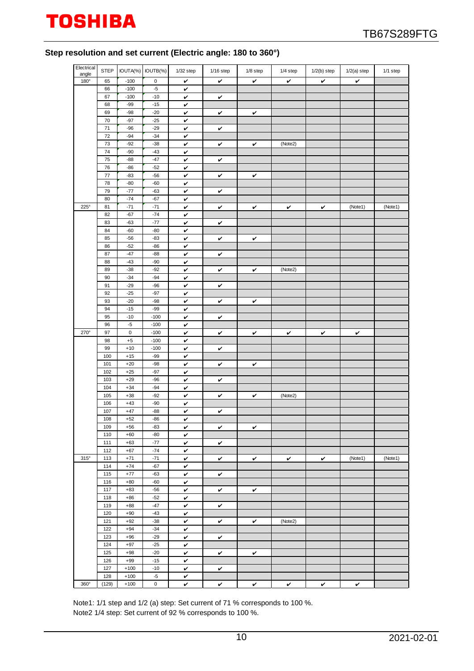### **Step resolution and set current (Electric angle: 180 to 360°)**

| Electrical<br>angle | <b>STEP</b> |                | IOUTA(%) IOUTB(%)   | $1/32$ step  | $1/16$ step  | 1/8 step     | 1/4 step              | $1/2(b)$ step | $1/2(a)$ step | 1/1 step |
|---------------------|-------------|----------------|---------------------|--------------|--------------|--------------|-----------------------|---------------|---------------|----------|
| 180°                | 65          | $-100$         | 0                   | v            | $\checkmark$ | $\checkmark$ | v                     | v             | v             |          |
|                     | 66          | $-100$         | $-5$                | v            |              |              |                       |               |               |          |
|                     | 67          | $-100$         | $-10$               | v            | v            |              |                       |               |               |          |
|                     | 68          | $-99$          | $-15$               | v            |              |              |                       |               |               |          |
|                     | 69          | $-98$          | $-20$               | v            | v            | v            |                       |               |               |          |
|                     | 70          | $-97$          | $-25$               | v            |              |              |                       |               |               |          |
|                     | 71          | $-96$          | $-29$               | v            | v            |              |                       |               |               |          |
|                     | 72          | $-94$          | $-34$               | v            |              |              |                       |               |               |          |
|                     | 73          | $-92$          | $-38$               | $\checkmark$ | v            | v            | (Note2)               |               |               |          |
|                     | 74          | $-90$          | $-43$               | v            |              |              |                       |               |               |          |
|                     | 75          | $-88$          | $-47$               | v            | v            |              |                       |               |               |          |
|                     | 76          | $-86$          | $-52$               | $\checkmark$ |              |              |                       |               |               |          |
|                     | 77          | $-83$          | $-56$               | v            | v            | v            |                       |               |               |          |
|                     | 78          | $-80$          | $-60$               | v            |              |              |                       |               |               |          |
|                     | 79          | $-77$          | $-63$               | v            | v            |              |                       |               |               |          |
|                     | 80          | $-74$          | $-67$               | v            |              |              |                       |               |               |          |
| 225°                | 81          | $-71$          | $-71$               | v            | v            | v            | v                     | v             | (Note1)       | (Note1)  |
|                     | 82          | $-67$          | $-74$               | v            |              |              |                       |               |               |          |
|                     | 83          | $-63$          | $-77$               | v            | v            |              |                       |               |               |          |
|                     | 84          | $-60$          | $-80$               | $\checkmark$ |              |              |                       |               |               |          |
|                     | 85          | $-56$          | $-83$               | v            | v            | v            |                       |               |               |          |
|                     | 86          | $-52$          | $-86$               | v            |              |              |                       |               |               |          |
|                     | 87          | $-47$          | $-88$               | $\checkmark$ | v            |              |                       |               |               |          |
|                     | 88          | $-43$          | $-90$               | v            |              |              |                       |               |               |          |
|                     | 89          | $-38$          | $-92$               | v            | v            | v            | (Note2)               |               |               |          |
|                     | 90          | $-34$          | $-94$               | v            |              |              |                       |               |               |          |
|                     | 91          | $-29$<br>$-25$ | $-96$               | v            | v            |              |                       |               |               |          |
|                     | 92<br>93    | $-20$          | $-97$<br>$-98$      | v<br>v       |              |              |                       |               |               |          |
|                     | 94          | $-15$          | $-99$               | v            | v            | v            |                       |               |               |          |
|                     | 95          | $-10$          | $-100$              | v            | v            |              |                       |               |               |          |
|                     | 96          | $-5$           | $-100$              | v            |              |              |                       |               |               |          |
| 270°                | 97          | $\mathsf 0$    | $-100$              | v            | v            | v            | v                     | v             | v             |          |
|                     | 98          | $\pm 5$        | $-100$              | v            |              |              |                       |               |               |          |
|                     | 99          | $+10$          | $-100$              | v            | v            |              |                       |               |               |          |
|                     | 100         | $+15$          | $-99$               | v            |              |              |                       |               |               |          |
|                     | 101         | $+20$          | $-98$               | $\checkmark$ | v            | v            |                       |               |               |          |
|                     | 102         | $+25$          | $-97$               | v            |              |              |                       |               |               |          |
|                     | 103         | $+29$          | $-96$               | v            | v            |              |                       |               |               |          |
|                     | 104         | $+34$          | $-94$               | v            |              |              |                       |               |               |          |
|                     | 105         | $+38$          | $-92$               | v            | v            | $\checkmark$ | $\sqrt{\text{Note2}}$ |               |               |          |
|                     | 106         | $+43$          | $-90$               | v            |              |              |                       |               |               |          |
|                     | 107         | $+47$          | $-88$               | v            | v            |              |                       |               |               |          |
|                     | 108         | $+52$          | $-86$               | v            |              |              |                       |               |               |          |
|                     | 109         | $+56$          | $-83$               | v            | v            | v            |                       |               |               |          |
|                     | 110         | $+60$          | -80                 | v            |              |              |                       |               |               |          |
|                     | 111         | $+63$          | $-77$               | v            | v            |              |                       |               |               |          |
|                     | 112         | $+67$          | $-74$               | v            |              |              |                       |               |               |          |
| $315^\circ$         | 113<br>114  | $+71$<br>$+74$ | $-71$<br>$-67$      | v            | V            | v            | V                     | V             | (Note1)       | (Note1)  |
|                     | 115         | $+77$          | $-63$               | v            |              |              |                       |               |               |          |
|                     | 116         | $+80$          | $-60$               | v<br>v       | v            |              |                       |               |               |          |
|                     | 117         | $+83$          | $-56$               | v            | v            | v            |                       |               |               |          |
|                     | 118         | $+86$          | $-52$               | v            |              |              |                       |               |               |          |
|                     | 119         | $+88$          | $-47$               | v            | v            |              |                       |               |               |          |
|                     | 120         | $+90$          | $-43$               | v            |              |              |                       |               |               |          |
|                     | 121         | $+92$          | $-38$               | $\checkmark$ | v            | v            | (Note2)               |               |               |          |
|                     | 122         | $+94$          | $-34$               | v            |              |              |                       |               |               |          |
|                     | 123         | $+96$          | $-29$               | $\checkmark$ | v            |              |                       |               |               |          |
|                     | 124         | $+97$          | $-25$               | v            |              |              |                       |               |               |          |
|                     | 125         | $+98$          | $-20$               | v            | v            | v            |                       |               |               |          |
|                     | 126         | $+99$          | $-15$               | $\checkmark$ |              |              |                       |               |               |          |
|                     | 127         | $+100$         | $-10$               | v            | v            |              |                       |               |               |          |
|                     | 128         | $+100$         | $-5$                | v            |              |              |                       |               |               |          |
| $360^\circ$         | (129)       | $+100$         | $\mathsf{O}\xspace$ | $\checkmark$ | v            | v            | v                     | v             | v             |          |

Note1: 1/1 step and 1/2 (a) step: Set current of 71 % corresponds to 100 %. Note2 1/4 step: Set current of 92 % corresponds to 100 %.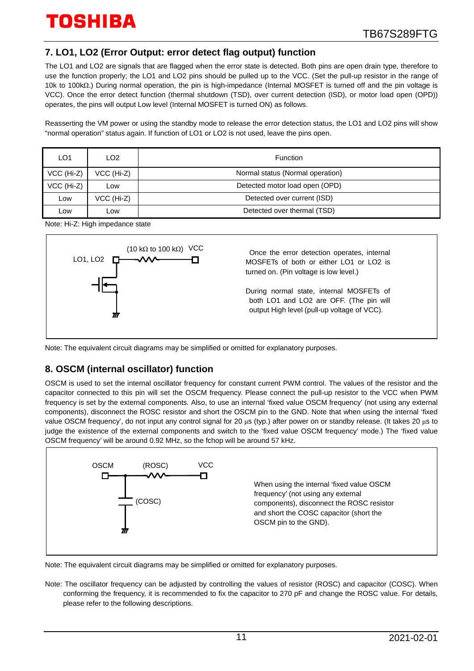## **7. LO1, LO2 (Error Output: error detect flag output) function**

The LO1 and LO2 are signals that are flagged when the error state is detected. Both pins are open drain type, therefore to use the function properly; the LO1 and LO2 pins should be pulled up to the VCC. (Set the pull-up resistor in the range of 10k to 100kΩ.) During normal operation, the pin is high-impedance (Internal MOSFET is turned off and the pin voltage is VCC). Once the error detect function (thermal shutdown (TSD), over current detection (ISD), or motor load open (OPD)) operates, the pins will output Low level (Internal MOSFET is turned ON) as follows.

Reasserting the VM power or using the standby mode to release the error detection status, the LO1 and LO2 pins will show "normal operation" status again. If function of LO1 or LO2 is not used, leave the pins open.

| LO1        | LO <sub>2</sub> | Function                         |
|------------|-----------------|----------------------------------|
| VCC (Hi-Z) | VCC (Hi-Z)      | Normal status (Normal operation) |
| VCC (Hi-Z) | Low             | Detected motor load open (OPD)   |
| Low        | VCC (Hi-Z)      | Detected over current (ISD)      |
| _ow        | LOW             | Detected over thermal (TSD)      |

Note: Hi-Z: High impedance state



Note: The equivalent circuit diagrams may be simplified or omitted for explanatory purposes.

## **8. OSCM (internal oscillator) function**

OSCM is used to set the internal oscillator frequency for constant current PWM control. The values of the resistor and the capacitor connected to this pin will set the OSCM frequency. Please connect the pull-up resistor to the VCC when PWM frequency is set by the external components. Also, to use an internal 'fixed value OSCM frequency' (not using any external components), disconnect the ROSC resistor and short the OSCM pin to the GND. Note that when using the internal 'fixed value OSCM frequency', do not input any control signal for 20 μs (typ.) after power on or standby release. (It takes 20 μs to judge the existence of the external components and switch to the 'fixed value OSCM frequency' mode.) The 'fixed value OSCM frequency' will be around 0.92 MHz, so the fchop will be around 57 kHz.



Note: The equivalent circuit diagrams may be simplified or omitted for explanatory purposes.

Note: The oscillator frequency can be adjusted by controlling the values of resistor (ROSC) and capacitor (COSC). When conforming the frequency, it is recommended to fix the capacitor to 270 pF and change the ROSC value. For details, please refer to the following descriptions.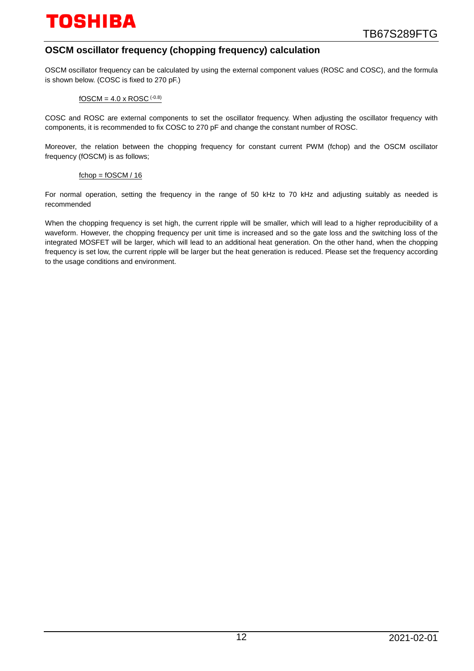## **OSCM oscillator frequency (chopping frequency) calculation**

OSCM oscillator frequency can be calculated by using the external component values (ROSC and COSC), and the formula is shown below. (COSC is fixed to 270 pF.)

#### $fOSCM = 4.0 \times ROSC$  (-0.8)

COSC and ROSC are external components to set the oscillator frequency. When adjusting the oscillator frequency with components, it is recommended to fix COSC to 270 pF and change the constant number of ROSC.

Moreover, the relation between the chopping frequency for constant current PWM (fchop) and the OSCM oscillator frequency (fOSCM) is as follows;

#### $fchop = fOSCM / 16$

For normal operation, setting the frequency in the range of 50 kHz to 70 kHz and adjusting suitably as needed is recommended

When the chopping frequency is set high, the current ripple will be smaller, which will lead to a higher reproducibility of a waveform. However, the chopping frequency per unit time is increased and so the gate loss and the switching loss of the integrated MOSFET will be larger, which will lead to an additional heat generation. On the other hand, when the chopping frequency is set low, the current ripple will be larger but the heat generation is reduced. Please set the frequency according to the usage conditions and environment.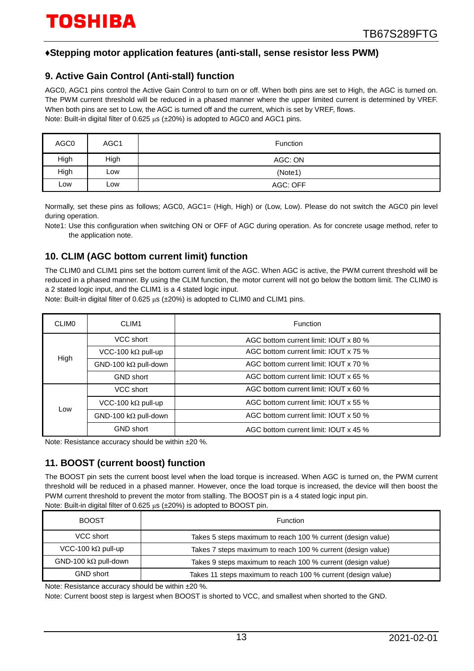### **♦Stepping motor application features (anti-stall, sense resistor less PWM)**

### **9. Active Gain Control (Anti-stall) function**

AGC0, AGC1 pins control the Active Gain Control to turn on or off. When both pins are set to High, the AGC is turned on. The PWM current threshold will be reduced in a phased manner where the upper limited current is determined by VREF. When both pins are set to Low, the AGC is turned off and the current, which is set by VREF, flows. Note: Built-in digital filter of 0.625 μs (±20%) is adopted to AGC0 and AGC1 pins.

| AGC0 | AGC1 | <b>Function</b> |
|------|------|-----------------|
| High | High | AGC: ON         |
| High | Low  | (Note1)         |
| LOW  | Low  | AGC: OFF        |

Normally, set these pins as follows; AGC0, AGC1= (High, High) or (Low, Low). Please do not switch the AGC0 pin level during operation.

Note1: Use this configuration when switching ON or OFF of AGC during operation. As for concrete usage method, refer to the application note.

## **10. CLIM (AGC bottom current limit) function**

The CLIM0 and CLIM1 pins set the bottom current limit of the AGC. When AGC is active, the PWM current threshold will be reduced in a phased manner. By using the CLIM function, the motor current will not go below the bottom limit. The CLIM0 is a 2 stated logic input, and the CLIM1 is a 4 stated logic input.

Note: Built-in digital filter of 0.625 μs (±20%) is adopted to CLIM0 and CLIM1 pins.

| <b>CLIMO</b> | CLIM1                        | Function                              |  |  |  |
|--------------|------------------------------|---------------------------------------|--|--|--|
|              | VCC short                    | AGC bottom current limit: IOUT x 80 % |  |  |  |
| High         | VCC-100 k $\Omega$ pull-up   | AGC bottom current limit: IOUT x 75 % |  |  |  |
|              | GND-100 k $\Omega$ pull-down | AGC bottom current limit: IOUT x 70 % |  |  |  |
|              | <b>GND</b> short             | AGC bottom current limit: IOUT x 65 % |  |  |  |
|              | VCC short                    | AGC bottom current limit: IOUT x 60 % |  |  |  |
| Low          | VCC-100 k $\Omega$ pull-up   | AGC bottom current limit: IOUT x 55 % |  |  |  |
|              | GND-100 k $\Omega$ pull-down | AGC bottom current limit: IOUT x 50 % |  |  |  |
|              | <b>GND short</b>             | AGC bottom current limit: IOUT x 45 % |  |  |  |

Note: Resistance accuracy should be within ±20 %.

## **11. BOOST (current boost) function**

The BOOST pin sets the current boost level when the load torque is increased. When AGC is turned on, the PWM current threshold will be reduced in a phased manner. However, once the load torque is increased, the device will then boost the PWM current threshold to prevent the motor from stalling. The BOOST pin is a 4 stated logic input pin. Note: Built-in digital filter of 0.625 μs (±20%) is adopted to BOOST pin.

|                             | $\sim$ $\sim$ $\sim$ $\sim$                                  |
|-----------------------------|--------------------------------------------------------------|
| <b>BOOST</b>                | Function                                                     |
| VCC short                   | Takes 5 steps maximum to reach 100 % current (design value)  |
| VCC-100 k $\Omega$ pull-up  | Takes 7 steps maximum to reach 100 % current (design value)  |
| $GND-100 k\Omega$ pull-down | Takes 9 steps maximum to reach 100 % current (design value)  |
| <b>GND short</b>            | Takes 11 steps maximum to reach 100 % current (design value) |

Note: Resistance accuracy should be within ±20 %.

Note: Current boost step is largest when BOOST is shorted to VCC, and smallest when shorted to the GND.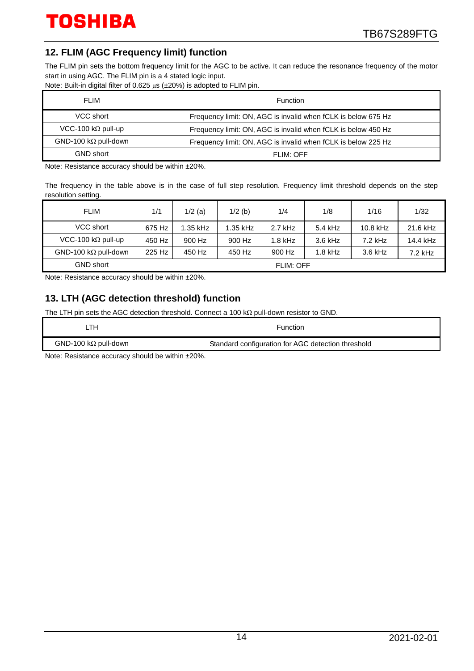## **12. FLIM (AGC Frequency limit) function**

The FLIM pin sets the bottom frequency limit for the AGC to be active. It can reduce the resonance frequency of the motor start in using AGC. The FLIM pin is a 4 stated logic input.

Note: Built-in digital filter of 0.625 μs (±20%) is adopted to FLIM pin.

| <b>FLIM</b>                 | Function                                                      |
|-----------------------------|---------------------------------------------------------------|
| VCC short                   | Frequency limit: ON, AGC is invalid when fCLK is below 675 Hz |
| VCC-100 k $\Omega$ pull-up  | Frequency limit: ON, AGC is invalid when fCLK is below 450 Hz |
| $GND-100 k\Omega$ pull-down | Frequency limit: ON, AGC is invalid when fCLK is below 225 Hz |
| <b>GND short</b>            | FLIM: OFF                                                     |

Note: Resistance accuracy should be within ±20%.

The frequency in the table above is in the case of full step resolution. Frequency limit threshold depends on the step resolution setting.

| <b>FLIM</b>                          | 1/1    | $1/2$ (a) | $1/2$ (b) | 1/4       | 1/8       | 1/16       | 1/32      |
|--------------------------------------|--------|-----------|-----------|-----------|-----------|------------|-----------|
| VCC short                            | 675 Hz | 1.35 kHz  | 1.35 kHz  | $2.7$ kHz | 5.4 kHz   | $10.8$ kHz | 21.6 kHz  |
| VCC-100 k $\Omega$ pull-up           | 450 Hz | 900 Hz    | 900 Hz    | $1.8$ kHz | $3.6$ kHz | $7.2$ kHz  | 14.4 kHz  |
| GND-100 k $\Omega$ pull-down         | 225 Hz | 450 Hz    | 450 Hz    | 900 Hz    | $1.8$ kHz | $3.6$ kHz  | $7.2$ kHz |
| <b>GND short</b><br><b>FLIM: OFF</b> |        |           |           |           |           |            |           |

Note: Resistance accuracy should be within ±20%.

## **13. LTH (AGC detection threshold) function**

The LTH pin sets the AGC detection threshold. Connect a 100 kΩ pull-down resistor to GND.

| _TH                         | Function                                           |
|-----------------------------|----------------------------------------------------|
| $GND-100 k\Omega$ pull-down | Standard configuration for AGC detection threshold |
|                             |                                                    |

Note: Resistance accuracy should be within ±20%.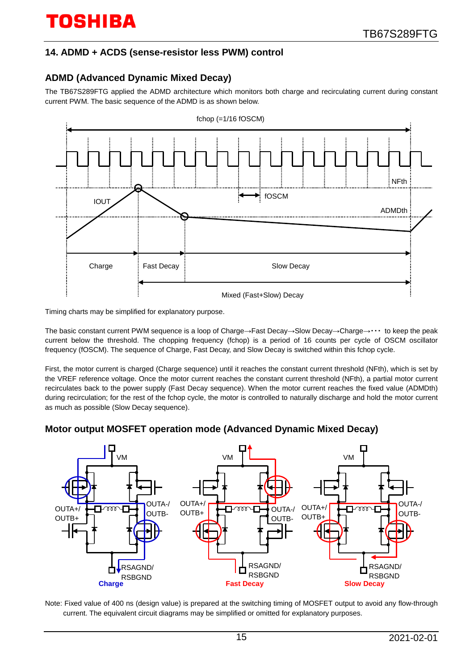## **14. ADMD + ACDS (sense-resistor less PWM) control**

## **ADMD (Advanced Dynamic Mixed Decay)**

The TB67S289FTG applied the ADMD architecture which monitors both charge and recirculating current during constant current PWM. The basic sequence of the ADMD is as shown below.



Timing charts may be simplified for explanatory purpose.

The basic constant current PWM sequence is a loop of Charge→Fast Decay→Slow Decay→Charge→・・・ to keep the peak current below the threshold. The chopping frequency (fchop) is a period of 16 counts per cycle of OSCM oscillator frequency (fOSCM). The sequence of Charge, Fast Decay, and Slow Decay is switched within this fchop cycle.

First, the motor current is charged (Charge sequence) until it reaches the constant current threshold (NFth), which is set by the VREF reference voltage. Once the motor current reaches the constant current threshold (NFth), a partial motor current recirculates back to the power supply (Fast Decay sequence). When the motor current reaches the fixed value (ADMDth) during recirculation; for the rest of the fchop cycle, the motor is controlled to naturally discharge and hold the motor current as much as possible (Slow Decay sequence).

## **Motor output MOSFET operation mode (Advanced Dynamic Mixed Decay)**



Note: Fixed value of 400 ns (design value) is prepared at the switching timing of MOSFET output to avoid any flow-through current. The equivalent circuit diagrams may be simplified or omitted for explanatory purposes.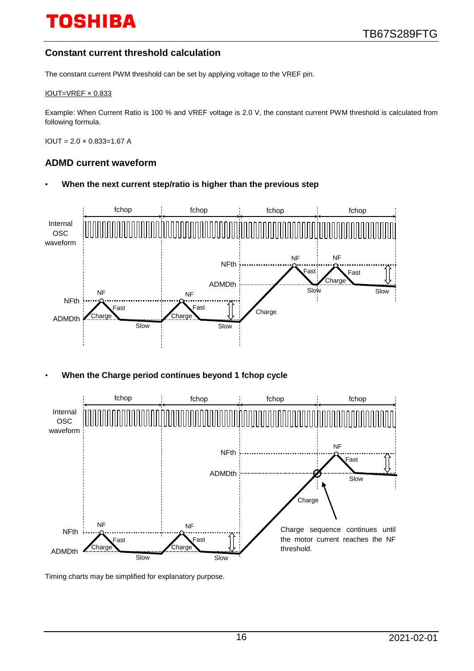## **Constant current threshold calculation**

The constant current PWM threshold can be set by applying voltage to the VREF pin.

#### IOUT=VREF × 0.833

Example: When Current Ratio is 100 % and VREF voltage is 2.0 V, the constant current PWM threshold is calculated from following formula.

 $IOUT = 2.0 \times 0.833 = 1.67$  A

#### **ADMD current waveform**

• **When the next current step/ratio is higher than the previous step**



• **When the Charge period continues beyond 1 fchop cycle**



Timing charts may be simplified for explanatory purpose.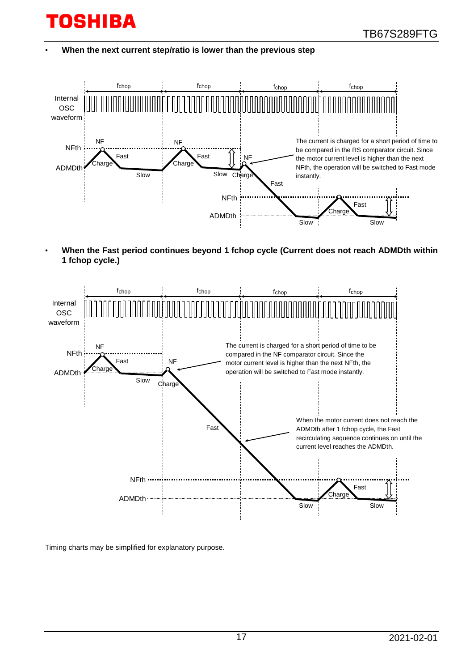• **When the next current step/ratio is lower than the previous step**



• **When the Fast period continues beyond 1 fchop cycle (Current does not reach ADMDth within 1 fchop cycle.)**



Timing charts may be simplified for explanatory purpose.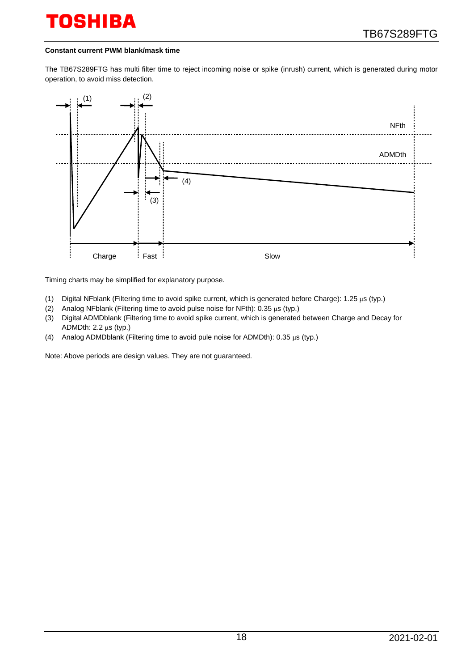#### **Constant current PWM blank/mask time**

The TB67S289FTG has multi filter time to reject incoming noise or spike (inrush) current, which is generated during motor operation, to avoid miss detection.



Timing charts may be simplified for explanatory purpose.

- (1) Digital NFblank (Filtering time to avoid spike current, which is generated before Charge): 1.25 μs (typ.)
- (2) Analog NFblank (Filtering time to avoid pulse noise for NFth): 0.35 μs (typ.)
- (3) Digital ADMDblank (Filtering time to avoid spike current, which is generated between Charge and Decay for ADMDth: 2.2 μs (typ.)
- (4) Analog ADMDblank (Filtering time to avoid pule noise for ADMDth): 0.35 μs (typ.)

Note: Above periods are design values. They are not guaranteed.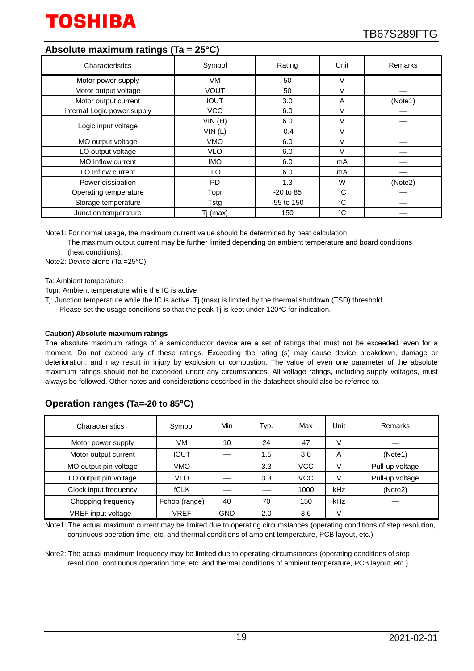

### **Absolute maximum ratings (Ta = 25°C)**

| Characteristics             | Symbol      | Rating      | Unit         | Remarks |
|-----------------------------|-------------|-------------|--------------|---------|
| Motor power supply          | VM.         | 50          | V            |         |
| Motor output voltage        | <b>VOUT</b> | 50          | $\vee$       |         |
| Motor output current        | <b>IOUT</b> | 3.0         | A            | (Note1) |
| Internal Logic power supply | <b>VCC</b>  | 6.0         | ٧            |         |
|                             | VIN(H)      | 6.0         | $\vee$       |         |
| Logic input voltage         | VIN(L)      | $-0.4$      | V            |         |
| MO output voltage           | <b>VMO</b>  | 6.0         | V            |         |
| LO output voltage           | <b>VLO</b>  | 6.0         | $\vee$       |         |
| <b>MO Inflow current</b>    | <b>IMO</b>  | 6.0         | mA           |         |
| LO Inflow current           | <b>ILO</b>  | 6.0         | mA           |         |
| Power dissipation           | <b>PD</b>   | 1.3         | W            | (Note2) |
| Operating temperature       | Topr        | $-20$ to 85 | °C           |         |
| Storage temperature         | Tstg        | -55 to 150  | °C           |         |
| Junction temperature        | Tj (max)    | 150         | $^{\circ}$ C |         |

Note1: For normal usage, the maximum current value should be determined by heat calculation.

The maximum output current may be further limited depending on ambient temperature and board conditions (heat conditions).

Note2: Device alone (Ta =25°C)

Ta: Ambient temperature

Topr: Ambient temperature while the IC is active

- Tj: Junction temperature while the IC is active. Tj (max) is limited by the thermal shutdown (TSD) threshold.
	- Please set the usage conditions so that the peak Tj is kept under 120°C for indication.

#### **Caution) Absolute maximum ratings**

The absolute maximum ratings of a semiconductor device are a set of ratings that must not be exceeded, even for a moment. Do not exceed any of these ratings. Exceeding the rating (s) may cause device breakdown, damage or deterioration, and may result in injury by explosion or combustion. The value of even one parameter of the absolute maximum ratings should not be exceeded under any circumstances. All voltage ratings, including supply voltages, must always be followed. Other notes and considerations described in the datasheet should also be referred to.

## **Operation ranges (Ta=-20 to 85°C)**

| Characteristics       | Symbol        | Min        | Typ. | Max        | Unit | Remarks         |
|-----------------------|---------------|------------|------|------------|------|-----------------|
| Motor power supply    | VM            | 10         | 24   | 47         | V    |                 |
| Motor output current  | <b>IOUT</b>   |            | 1.5  | 3.0        | A    | (Note1)         |
| MO output pin voltage | <b>VMO</b>    |            | 3.3  | <b>VCC</b> | V    | Pull-up voltage |
| LO output pin voltage | <b>VLO</b>    |            | 3.3  | <b>VCC</b> | V    | Pull-up voltage |
| Clock input frequency | <b>fCLK</b>   |            |      | 1000       | kHz  | (Note2)         |
| Chopping frequency    | Fchop (range) | 40         | 70   | 150        | kHz  |                 |
| VREF input voltage    | VREF          | <b>GND</b> | 2.0  | 3.6        | V    |                 |

Note1: The actual maximum current may be limited due to operating circumstances (operating conditions of step resolution, continuous operation time, etc. and thermal conditions of ambient temperature, PCB layout, etc.)

Note2: The actual maximum frequency may be limited due to operating circumstances (operating conditions of step resolution, continuous operation time, etc. and thermal conditions of ambient temperature, PCB layout, etc.)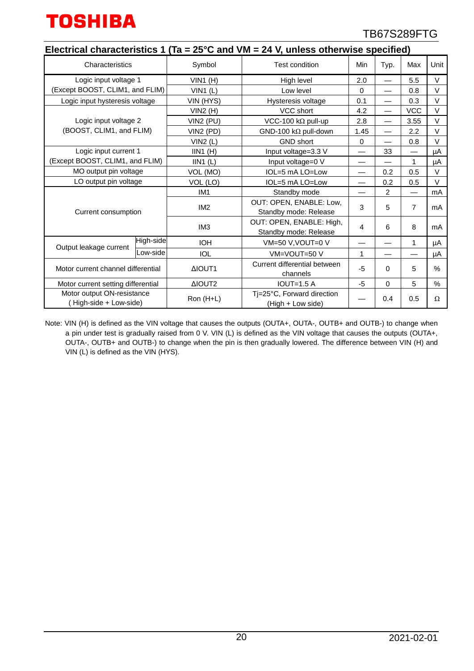

|                                                      |           |                             | Electrical characteristics 1 (Ta = 25°C and VM = 24 V, unless otherwise specified) |          |                          |                |          |
|------------------------------------------------------|-----------|-----------------------------|------------------------------------------------------------------------------------|----------|--------------------------|----------------|----------|
| Characteristics                                      |           | Symbol                      | <b>Test condition</b>                                                              | Min      | Typ.                     | Max            | Unit     |
| Logic input voltage 1                                |           | $VIN1$ (H)                  | High level                                                                         | 2.0      |                          | 5.5            | V        |
| (Except BOOST, CLIM1, and FLIM)                      |           | $VIN1$ (L)<br>Low level     |                                                                                    | $\Omega$ |                          | 0.8            | V        |
| Logic input hysteresis voltage                       |           | VIN (HYS)                   | Hysteresis voltage                                                                 | 0.1      | $\overline{\phantom{0}}$ | 0.3            | V        |
|                                                      |           | VCC short<br>VIN2(H)        |                                                                                    | 4.2      | $\overline{\phantom{0}}$ | <b>VCC</b>     | V        |
| Logic input voltage 2                                |           | VIN2 (PU)                   | VCC-100 k $\Omega$ pull-up                                                         | 2.8      | $\overline{\phantom{0}}$ | 3.55           | V        |
| (BOOST, CLIM1, and FLIM)                             |           | $VIN2$ (PD)                 | GND-100 k $\Omega$ pull-down                                                       | 1.45     | $\overline{\phantom{0}}$ | 2.2            | V        |
|                                                      |           | VIN2(L)                     | <b>GND short</b>                                                                   | 0        |                          | 0.8            | $\vee$   |
| Logic input current 1                                |           | $IIN1$ (H)                  | Input voltage=3.3 V                                                                |          | 33                       | —              | μA       |
| (Except BOOST, CLIM1, and FLIM)                      |           | $IIN1$ (L)                  | Input voltage=0 V                                                                  |          |                          | 1              | μA       |
| MO output pin voltage                                |           | VOL (MO)<br>IOL=5 mA LO=Low |                                                                                    |          | 0.2                      | 0.5            | $\vee$   |
| LO output pin voltage                                |           | VOL (LO)                    | IOL=5 mA LO=Low                                                                    |          | 0.2                      | 0.5            | $\vee$   |
|                                                      |           | IM <sub>1</sub>             | Standby mode                                                                       |          | 2                        |                | mA       |
| Current consumption                                  |           | IM <sub>2</sub>             | OUT: OPEN, ENABLE: Low,<br>Standby mode: Release                                   | 3        | 5                        | $\overline{7}$ | mA       |
|                                                      |           | IM <sub>3</sub>             | OUT: OPEN, ENABLE: High,<br>4<br>Standby mode: Release                             |          | 6                        | 8              | mA       |
| Output leakage current                               | High-side | <b>IOH</b>                  | VM=50 V, VOUT=0 V                                                                  |          |                          | $\mathbf{1}$   | μA       |
|                                                      | Low-side  | <b>IOL</b>                  | VM=VOUT=50 V                                                                       | 1        |                          |                | μA       |
| Motor current channel differential                   |           | ΔΙΟUT1                      | Current differential between<br>channels                                           | $-5$     | $\Omega$                 | 5              | $\%$     |
| Motor current setting differential                   |           | ΔIOUT2                      | $IOUT=1.5 A$                                                                       | $-5$     | $\Omega$                 | 5              | $\%$     |
| Motor output ON-resistance<br>(High-side + Low-side) |           | Ron (H+L)                   | Ti=25°C, Forward direction<br>(High + Low side)                                    |          | 0.4                      | 0.5            | $\Omega$ |

Note: VIN (H) is defined as the VIN voltage that causes the outputs (OUTA+, OUTA-, OUTB+ and OUTB-) to change when a pin under test is gradually raised from 0 V. VIN (L) is defined as the VIN voltage that causes the outputs (OUTA+, OUTA-, OUTB+ and OUTB-) to change when the pin is then gradually lowered. The difference between VIN (H) and VIN (L) is defined as the VIN (HYS).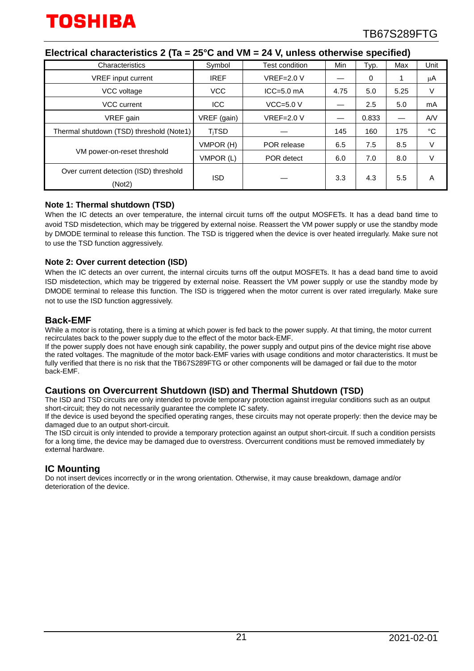| Characteristics                                  | Symbol      | Test condition | Min  | Typ.  | Max  | Unit        |
|--------------------------------------------------|-------------|----------------|------|-------|------|-------------|
| <b>VREF</b> input current                        | <b>IREF</b> | $VREF=2.0 V$   |      | 0     |      | μA          |
| VCC voltage                                      | <b>VCC</b>  | $ICC = 5.0$ mA | 4.75 | 5.0   | 5.25 | V           |
| <b>VCC</b> current                               | <b>ICC</b>  | $VCC=5.0 V$    |      | 2.5   | 5.0  | mA          |
| VREF gain                                        | VREF (gain) | $VREF=2.0 V$   |      | 0.833 |      | A/V         |
| Thermal shutdown (TSD) threshold (Note1)         | $T_i$ TSD   |                | 145  | 160   | 175  | $^{\circ}C$ |
|                                                  | VMPOR (H)   | POR release    | 6.5  | 7.5   | 8.5  | V           |
| VM power-on-reset threshold                      | VMPOR (L)   | POR detect     | 6.0  | 7.0   | 8.0  | V           |
| Over current detection (ISD) threshold<br>(Not2) | ISD         |                | 3.3  | 4.3   | 5.5  | A           |

#### **Electrical characteristics 2 (Ta = 25°C and VM = 24 V, unless otherwise specified)**

#### **Note 1: Thermal shutdown (TSD)**

When the IC detects an over temperature, the internal circuit turns off the output MOSFETs. It has a dead band time to avoid TSD misdetection, which may be triggered by external noise. Reassert the VM power supply or use the standby mode by DMODE terminal to release this function. The TSD is triggered when the device is over heated irregularly. Make sure not to use the TSD function aggressively.

#### **Note 2: Over current detection (ISD)**

When the IC detects an over current, the internal circuits turns off the output MOSFETs. It has a dead band time to avoid ISD misdetection, which may be triggered by external noise. Reassert the VM power supply or use the standby mode by DMODE terminal to release this function. The ISD is triggered when the motor current is over rated irregularly. Make sure not to use the ISD function aggressively.

#### **Back-EMF**

While a motor is rotating, there is a timing at which power is fed back to the power supply. At that timing, the motor current recirculates back to the power supply due to the effect of the motor back-EMF.

If the power supply does not have enough sink capability, the power supply and output pins of the device might rise above the rated voltages. The magnitude of the motor back-EMF varies with usage conditions and motor characteristics. It must be fully verified that there is no risk that the TB67S289FTG or other components will be damaged or fail due to the motor back-EMF.

#### **Cautions on Overcurrent Shutdown (ISD) and Thermal Shutdown (TSD)**

The ISD and TSD circuits are only intended to provide temporary protection against irregular conditions such as an output short-circuit; they do not necessarily guarantee the complete IC safety.

If the device is used beyond the specified operating ranges, these circuits may not operate properly: then the device may be damaged due to an output short-circuit.

The ISD circuit is only intended to provide a temporary protection against an output short-circuit. If such a condition persists for a long time, the device may be damaged due to overstress. Overcurrent conditions must be removed immediately by external hardware.

#### **IC Mounting**

Do not insert devices incorrectly or in the wrong orientation. Otherwise, it may cause breakdown, damage and/or deterioration of the device.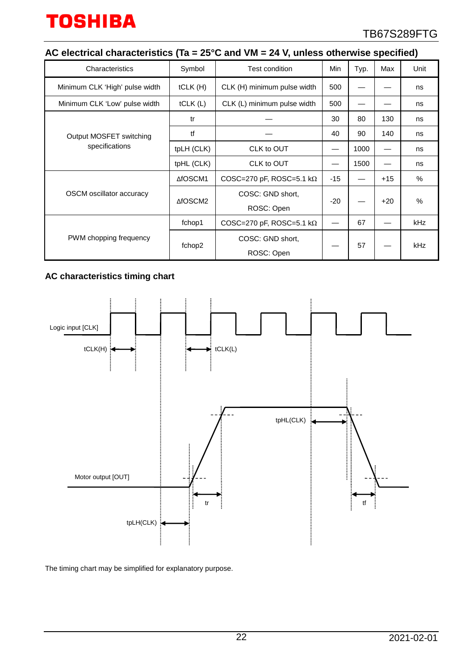## **AC electrical characteristics (Ta = 25°C and VM = 24 V, unless otherwise specified)**

| Characteristics                           | Symbol     | Test condition                   | Min   | Typ. | Max   | Unit       |
|-------------------------------------------|------------|----------------------------------|-------|------|-------|------------|
| Minimum CLK 'High' pulse width            | tCLK(H)    | CLK (H) minimum pulse width      | 500   |      |       | ns         |
| Minimum CLK 'Low' pulse width             | tCLK(L)    | CLK (L) minimum pulse width      | 500   |      |       | ns         |
| Output MOSFET switching<br>specifications | tr         |                                  | 30    | 80   | 130   | ns         |
|                                           | tf         |                                  | 40    | 90   | 140   | ns         |
|                                           | tpLH (CLK) | CLK to OUT                       |       | 1000 |       | ns         |
|                                           | tpHL (CLK) | CLK to OUT                       |       | 1500 |       | ns         |
| OSCM oscillator accuracy                  | ∆fOSCM1    | COSC=270 pF, ROSC=5.1 k $\Omega$ | $-15$ |      | $+15$ | %          |
|                                           | ∆fOSCM2    | COSC: GND short,                 | $-20$ |      | $+20$ | $\%$       |
|                                           |            | ROSC: Open                       |       |      |       |            |
| PWM chopping frequency                    | fchop1     | COSC=270 pF, ROSC=5.1 k $\Omega$ |       | 67   |       | kHz        |
|                                           | fchop2     | COSC: GND short,                 |       | 57   |       | <b>kHz</b> |
|                                           |            | ROSC: Open                       |       |      |       |            |

## **AC characteristics timing chart**



The timing chart may be simplified for explanatory purpose.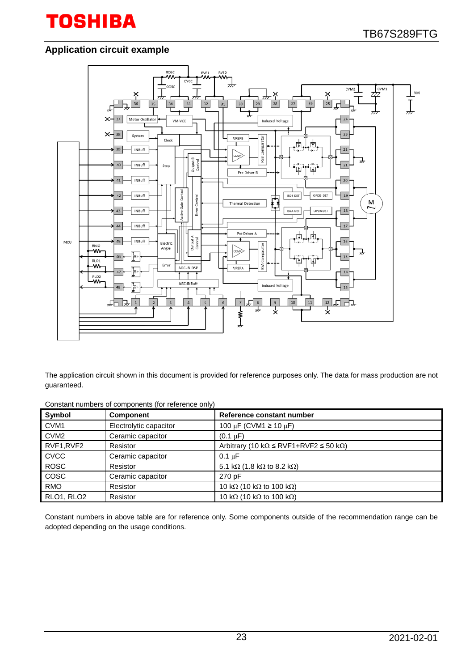## **Application circuit example**



The application circuit shown in this document is provided for reference purposes only. The data for mass production are not guaranteed.

| Constant numbers of components (for reference only) |
|-----------------------------------------------------|
|-----------------------------------------------------|

| Symbol           | <b>Component</b>       | Reference constant number                                      |
|------------------|------------------------|----------------------------------------------------------------|
| CVM <sub>1</sub> | Electrolytic capacitor | 100 µF (CVM1 $\geq$ 10 µF)                                     |
| CVM <sub>2</sub> | Ceramic capacitor      | $(0.1 \mu F)$                                                  |
| RVF1, RVF2       | Resistor               | Arbitrary (10 k $\Omega \leq RVF1 + RVF2 \leq 50$ k $\Omega$ ) |
| <b>CVCC</b>      | Ceramic capacitor      | $0.1 \mu F$                                                    |
| <b>ROSC</b>      | Resistor               | 5.1 k $\Omega$ (1.8 k $\Omega$ to 8.2 k $\Omega$ )             |
| COSC             | Ceramic capacitor      | 270 pF                                                         |
| <b>RMO</b>       | Resistor               | 10 k $\Omega$ (10 k $\Omega$ to 100 k $\Omega$ )               |
| RLO1, RLO2       | Resistor               | 10 k $\Omega$ (10 k $\Omega$ to 100 k $\Omega$ )               |

Constant numbers in above table are for reference only. Some components outside of the recommendation range can be adopted depending on the usage conditions.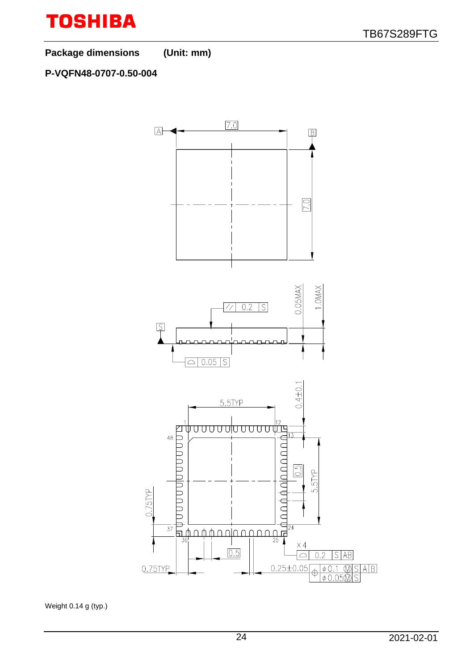**Package dimensions (Unit: mm)**

## **P-VQFN48-0707-0.50-004**



Weight 0.14 g (typ.)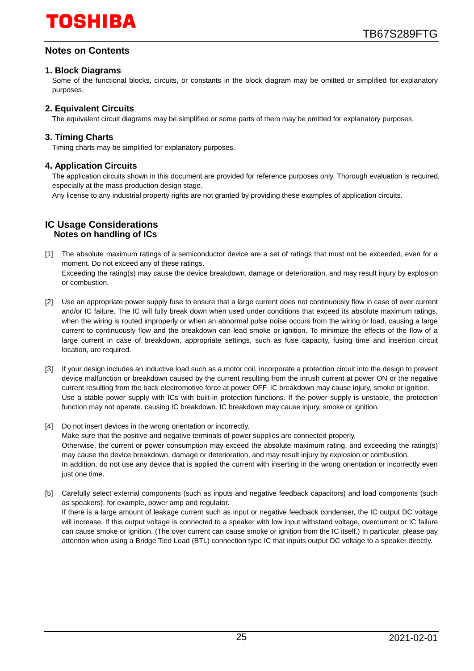## **Notes on Contents**

#### **1. Block Diagrams**

Some of the functional blocks, circuits, or constants in the block diagram may be omitted or simplified for explanatory purposes.

#### **2. Equivalent Circuits**

The equivalent circuit diagrams may be simplified or some parts of them may be omitted for explanatory purposes.

#### **3. Timing Charts**

Timing charts may be simplified for explanatory purposes.

#### **4. Application Circuits**

The application circuits shown in this document are provided for reference purposes only. Thorough evaluation is required, especially at the mass production design stage.

Any license to any industrial property rights are not granted by providing these examples of application circuits.

#### **IC Usage Considerations Notes on handling of ICs**

- [1] The absolute maximum ratings of a semiconductor device are a set of ratings that must not be exceeded, even for a moment. Do not exceed any of these ratings. Exceeding the rating(s) may cause the device breakdown, damage or deterioration, and may result injury by explosion or combustion.
- [2] Use an appropriate power supply fuse to ensure that a large current does not continuously flow in case of over current and/or IC failure. The IC will fully break down when used under conditions that exceed its absolute maximum ratings, when the wiring is routed improperly or when an abnormal pulse noise occurs from the wiring or load, causing a large current to continuously flow and the breakdown can lead smoke or ignition. To minimize the effects of the flow of a large current in case of breakdown, appropriate settings, such as fuse capacity, fusing time and insertion circuit location, are required.
- [3] If your design includes an inductive load such as a motor coil, incorporate a protection circuit into the design to prevent device malfunction or breakdown caused by the current resulting from the inrush current at power ON or the negative current resulting from the back electromotive force at power OFF. IC breakdown may cause injury, smoke or ignition. Use a stable power supply with ICs with built-in protection functions. If the power supply is unstable, the protection function may not operate, causing IC breakdown. IC breakdown may cause injury, smoke or ignition.
- [4] Do not insert devices in the wrong orientation or incorrectly. Make sure that the positive and negative terminals of power supplies are connected properly. Otherwise, the current or power consumption may exceed the absolute maximum rating, and exceeding the rating(s) may cause the device breakdown, damage or deterioration, and may result injury by explosion or combustion. In addition, do not use any device that is applied the current with inserting in the wrong orientation or incorrectly even just one time.
- [5] Carefully select external components (such as inputs and negative feedback capacitors) and load components (such as speakers), for example, power amp and regulator. If there is a large amount of leakage current such as input or negative feedback condenser, the IC output DC voltage will increase. If this output voltage is connected to a speaker with low input withstand voltage, overcurrent or IC failure can cause smoke or ignition. (The over current can cause smoke or ignition from the IC itself.) In particular, please pay attention when using a Bridge Tied Load (BTL) connection type IC that inputs output DC voltage to a speaker directly.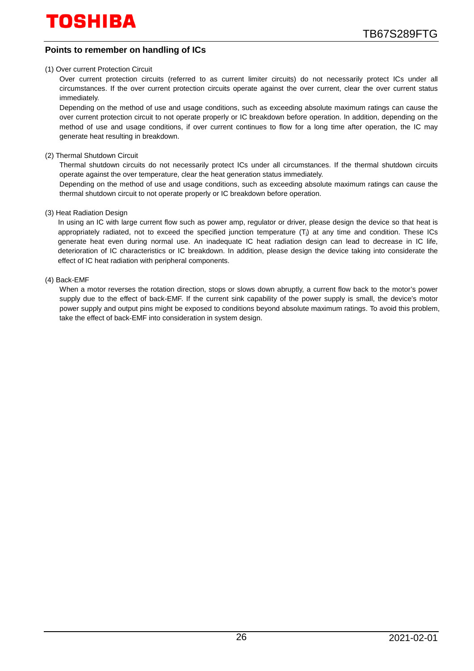#### **Points to remember on handling of ICs**

#### (1) Over current Protection Circuit

Over current protection circuits (referred to as current limiter circuits) do not necessarily protect ICs under all circumstances. If the over current protection circuits operate against the over current, clear the over current status immediately.

Depending on the method of use and usage conditions, such as exceeding absolute maximum ratings can cause the over current protection circuit to not operate properly or IC breakdown before operation. In addition, depending on the method of use and usage conditions, if over current continues to flow for a long time after operation, the IC may generate heat resulting in breakdown.

(2) Thermal Shutdown Circuit

Thermal shutdown circuits do not necessarily protect ICs under all circumstances. If the thermal shutdown circuits operate against the over temperature, clear the heat generation status immediately.

Depending on the method of use and usage conditions, such as exceeding absolute maximum ratings can cause the thermal shutdown circuit to not operate properly or IC breakdown before operation.

#### (3) Heat Radiation Design

In using an IC with large current flow such as power amp, regulator or driver, please design the device so that heat is appropriately radiated, not to exceed the specified junction temperature (Ti) at any time and condition. These ICs generate heat even during normal use. An inadequate IC heat radiation design can lead to decrease in IC life, deterioration of IC characteristics or IC breakdown. In addition, please design the device taking into considerate the effect of IC heat radiation with peripheral components.

#### (4) Back-EMF

When a motor reverses the rotation direction, stops or slows down abruptly, a current flow back to the motor's power supply due to the effect of back-EMF. If the current sink capability of the power supply is small, the device's motor power supply and output pins might be exposed to conditions beyond absolute maximum ratings. To avoid this problem, take the effect of back-EMF into consideration in system design.